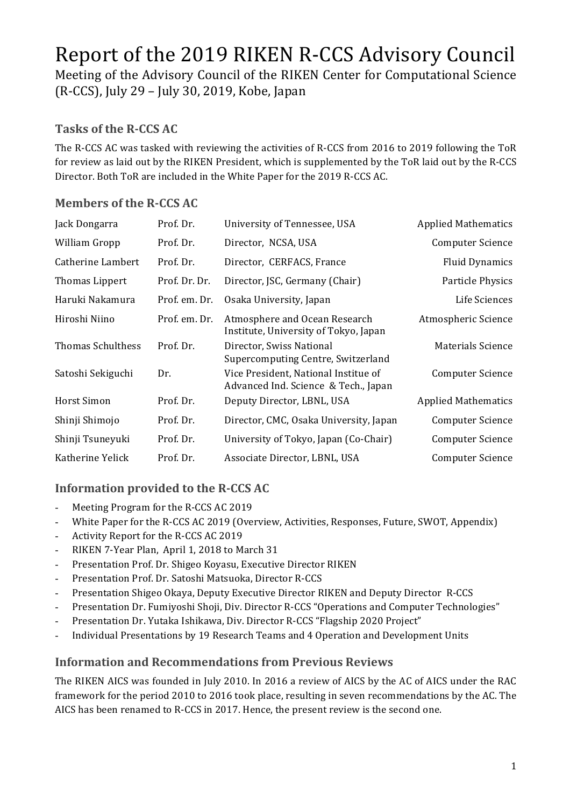# Report of the 2019 RIKEN R-CCS Advisory Council

Meeting of the Advisory Council of the RIKEN Center for Computational Science  $(R-CCS)$ , July 29 – July 30, 2019, Kobe, Japan

#### Tasks of the R-CCS **AC**

The R-CCS AC was tasked with reviewing the activities of R-CCS from 2016 to 2019 following the ToR for review as laid out by the RIKEN President, which is supplemented by the ToR laid out by the R-CCS Director. Both ToR are included in the White Paper for the 2019 R-CCS AC.

#### **Members of the R-CCS AC**

| Jack Dongarra            | Prof. Dr.     | University of Tennessee, USA                                                 | <b>Applied Mathematics</b> |
|--------------------------|---------------|------------------------------------------------------------------------------|----------------------------|
| William Gropp            | Prof. Dr.     | Director, NCSA, USA                                                          | Computer Science           |
| Catherine Lambert        | Prof. Dr.     | Director, CERFACS, France                                                    | <b>Fluid Dynamics</b>      |
| Thomas Lippert           | Prof. Dr. Dr. | Director, JSC, Germany (Chair)                                               | Particle Physics           |
| Haruki Nakamura          | Prof. em. Dr. | Osaka University, Japan                                                      | Life Sciences              |
| Hiroshi Niino            | Prof. em. Dr. | Atmosphere and Ocean Research<br>Institute, University of Tokyo, Japan       | Atmospheric Science        |
| <b>Thomas Schulthess</b> | Prof. Dr.     | Director, Swiss National<br>Supercomputing Centre, Switzerland               | Materials Science          |
| Satoshi Sekiguchi        | Dr.           | Vice President, National Institue of<br>Advanced Ind. Science & Tech., Japan | <b>Computer Science</b>    |
| Horst Simon              | Prof. Dr.     | Deputy Director, LBNL, USA                                                   | <b>Applied Mathematics</b> |
| Shinji Shimojo           | Prof. Dr.     | Director, CMC, Osaka University, Japan                                       | Computer Science           |
| Shinji Tsuneyuki         | Prof. Dr.     | University of Tokyo, Japan (Co-Chair)                                        | Computer Science           |
| Katherine Yelick         | Prof. Dr.     | Associate Director, LBNL, USA                                                | <b>Computer Science</b>    |

#### **Information provided to the R-CCS AC**

- Meeting Program for the R-CCS AC 2019
- White Paper for the R-CCS AC 2019 (Overview, Activities, Responses, Future, SWOT, Appendix)
- Activity Report for the R-CCS AC 2019
- RIKEN 7-Year Plan, April 1, 2018 to March 31
- Presentation Prof. Dr. Shigeo Koyasu, Executive Director RIKEN
- Presentation Prof. Dr. Satoshi Matsuoka, Director R-CCS
- Presentation Shigeo Okaya, Deputy Executive Director RIKEN and Deputy Director R-CCS
- Presentation Dr. Fumiyoshi Shoji, Div. Director R-CCS "Operations and Computer Technologies"
- Presentation Dr. Yutaka Ishikawa, Div. Director R-CCS "Flagship 2020 Project"
- Individual Presentations by 19 Research Teams and 4 Operation and Development Units

#### **Information and Recommendations from Previous Reviews**

The RIKEN AICS was founded in July 2010. In 2016 a review of AICS by the AC of AICS under the RAC framework for the period 2010 to 2016 took place, resulting in seven recommendations by the AC. The AICS has been renamed to R-CCS in 2017. Hence, the present review is the second one.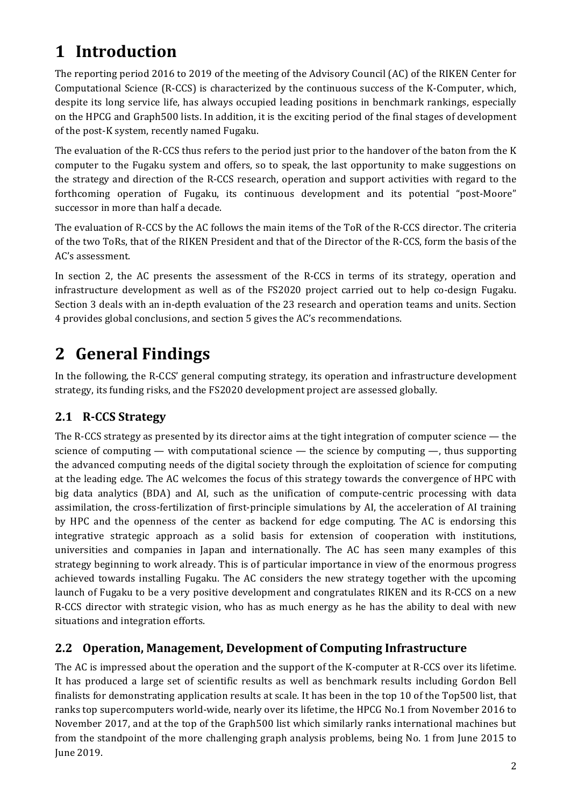# **1 Introduction**

The reporting period 2016 to 2019 of the meeting of the Advisory Council (AC) of the RIKEN Center for Computational Science  $(R-CCS)$  is characterized by the continuous success of the K-Computer, which, despite its long service life, has always occupied leading positions in benchmark rankings, especially on the HPCG and Graph500 lists. In addition, it is the exciting period of the final stages of development of the post-K system, recently named Fugaku.

The evaluation of the R-CCS thus refers to the period just prior to the handover of the baton from the K computer to the Fugaku system and offers, so to speak, the last opportunity to make suggestions on the strategy and direction of the R-CCS research, operation and support activities with regard to the forthcoming operation of Fugaku, its continuous development and its potential "post-Moore" successor in more than half a decade.

The evaluation of R-CCS by the AC follows the main items of the ToR of the R-CCS director. The criteria of the two ToRs, that of the RIKEN President and that of the Director of the R-CCS, form the basis of the AC's assessment.

In section 2, the AC presents the assessment of the R-CCS in terms of its strategy, operation and infrastructure development as well as of the FS2020 project carried out to help co-design Fugaku. Section 3 deals with an in-depth evaluation of the 23 research and operation teams and units. Section 4 provides global conclusions, and section 5 gives the AC's recommendations.

# **2 General Findings**

In the following, the R-CCS' general computing strategy, its operation and infrastructure development strategy, its funding risks, and the FS2020 development project are assessed globally.

# **2.1 R-CCS Strategy**

The R-CCS strategy as presented by its director aims at the tight integration of computer science  $-$  the science of computing — with computational science — the science by computing —, thus supporting the advanced computing needs of the digital society through the exploitation of science for computing at the leading edge. The AC welcomes the focus of this strategy towards the convergence of HPC with big data analytics (BDA) and AI, such as the unification of compute-centric processing with data assimilation, the cross-fertilization of first-principle simulations by AI, the acceleration of AI training by HPC and the openness of the center as backend for edge computing. The AC is endorsing this integrative strategic approach as a solid basis for extension of cooperation with institutions, universities and companies in Japan and internationally. The AC has seen many examples of this strategy beginning to work already. This is of particular importance in view of the enormous progress achieved towards installing Fugaku. The AC considers the new strategy together with the upcoming launch of Fugaku to be a very positive development and congratulates RIKEN and its R-CCS on a new R-CCS director with strategic vision, who has as much energy as he has the ability to deal with new situations and integration efforts.

# **2.2 Operation, Management, Development of Computing Infrastructure**

The AC is impressed about the operation and the support of the K-computer at R-CCS over its lifetime. It has produced a large set of scientific results as well as benchmark results including Gordon Bell finalists for demonstrating application results at scale. It has been in the top 10 of the Top500 list, that ranks top supercomputers world-wide, nearly over its lifetime, the HPCG No.1 from November 2016 to November 2017, and at the top of the Graph500 list which similarly ranks international machines but from the standpoint of the more challenging graph analysis problems, being No. 1 from June 2015 to **June 2019.**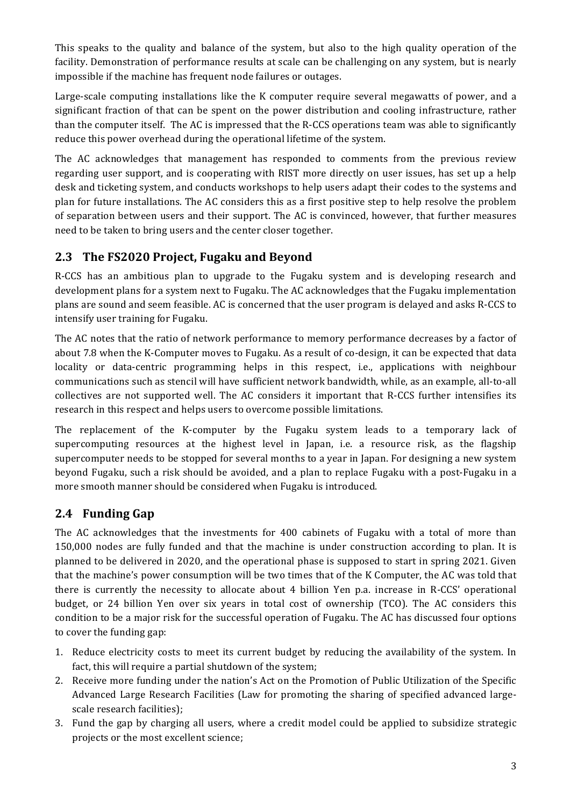This speaks to the quality and balance of the system, but also to the high quality operation of the facility. Demonstration of performance results at scale can be challenging on any system, but is nearly impossible if the machine has frequent node failures or outages.

Large-scale computing installations like the K computer require several megawatts of power, and a significant fraction of that can be spent on the power distribution and cooling infrastructure, rather than the computer itself. The AC is impressed that the R-CCS operations team was able to significantly reduce this power overhead during the operational lifetime of the system.

The AC acknowledges that management has responded to comments from the previous review regarding user support, and is cooperating with RIST more directly on user issues, has set up a help desk and ticketing system, and conducts workshops to help users adapt their codes to the systems and plan for future installations. The AC considers this as a first positive step to help resolve the problem of separation between users and their support. The AC is convinced, however, that further measures need to be taken to bring users and the center closer together.

# 2.3 The FS2020 Project, Fugaku and Beyond

R-CCS has an ambitious plan to upgrade to the Fugaku system and is developing research and development plans for a system next to Fugaku. The AC acknowledges that the Fugaku implementation plans are sound and seem feasible. AC is concerned that the user program is delayed and asks R-CCS to intensify user training for Fugaku.

The AC notes that the ratio of network performance to memory performance decreases by a factor of about 7.8 when the K-Computer moves to Fugaku. As a result of co-design, it can be expected that data locality or data-centric programming helps in this respect, i.e., applications with neighbour communications such as stencil will have sufficient network bandwidth, while, as an example, all-to-all collectives are not supported well. The AC considers it important that R-CCS further intensifies its research in this respect and helps users to overcome possible limitations.

The replacement of the K-computer by the Fugaku system leads to a temporary lack of supercomputing resources at the highest level in Japan, i.e. a resource risk, as the flagship supercomputer needs to be stopped for several months to a year in Japan. For designing a new system beyond Fugaku, such a risk should be avoided, and a plan to replace Fugaku with a post-Fugaku in a more smooth manner should be considered when Fugaku is introduced.

# **2.4 Funding Gap**

The AC acknowledges that the investments for 400 cabinets of Fugaku with a total of more than 150,000 nodes are fully funded and that the machine is under construction according to plan. It is planned to be delivered in 2020, and the operational phase is supposed to start in spring 2021. Given that the machine's power consumption will be two times that of the K Computer, the AC was told that there is currently the necessity to allocate about 4 billion Yen p.a. increase in R-CCS' operational budget, or 24 billion Yen over six years in total cost of ownership (TCO). The AC considers this condition to be a major risk for the successful operation of Fugaku. The AC has discussed four options to cover the funding gap:

- 1. Reduce electricity costs to meet its current budget by reducing the availability of the system. In fact, this will require a partial shutdown of the system;
- 2. Receive more funding under the nation's Act on the Promotion of Public Utilization of the Specific Advanced Large Research Facilities (Law for promoting the sharing of specified advanced largescale research facilities);
- 3. Fund the gap by charging all users, where a credit model could be applied to subsidize strategic projects or the most excellent science;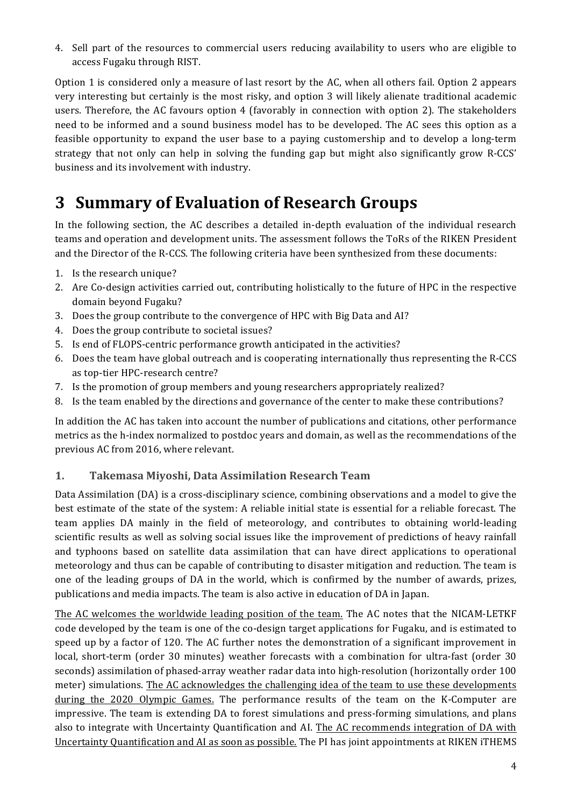4. Sell part of the resources to commercial users reducing availability to users who are eligible to access Fugaku through RIST.

Option 1 is considered only a measure of last resort by the AC, when all others fail. Option 2 appears very interesting but certainly is the most risky, and option 3 will likely alienate traditional academic users. Therefore, the AC favours option 4 (favorably in connection with option 2). The stakeholders need to be informed and a sound business model has to be developed. The AC sees this option as a feasible opportunity to expand the user base to a paying customership and to develop a long-term strategy that not only can help in solving the funding gap but might also significantly grow R-CCS' business and its involvement with industry.

# **3 Summary of Evaluation of Research Groups**

In the following section, the AC describes a detailed in-depth evaluation of the individual research teams and operation and development units. The assessment follows the ToRs of the RIKEN President and the Director of the R-CCS. The following criteria have been synthesized from these documents:

- 1. Is the research unique?
- 2. Are Co-design activities carried out, contributing holistically to the future of HPC in the respective domain beyond Fugaku?
- 3. Does the group contribute to the convergence of HPC with Big Data and AI?
- 4. Does the group contribute to societal issues?
- 5. Is end of FLOPS-centric performance growth anticipated in the activities?
- 6. Does the team have global outreach and is cooperating internationally thus representing the R-CCS as top-tier HPC-research centre?
- 7. Is the promotion of group members and young researchers appropriately realized?
- 8. Is the team enabled by the directions and governance of the center to make these contributions?

In addition the AC has taken into account the number of publications and citations, other performance metrics as the h-index normalized to postdoc years and domain, as well as the recommendations of the previous AC from 2016, where relevant.

#### **1. Takemasa Miyoshi, Data Assimilation Research Team**

Data Assimilation (DA) is a cross-disciplinary science, combining observations and a model to give the best estimate of the state of the system: A reliable initial state is essential for a reliable forecast. The team applies DA mainly in the field of meteorology, and contributes to obtaining world-leading scientific results as well as solving social issues like the improvement of predictions of heavy rainfall and typhoons based on satellite data assimilation that can have direct applications to operational meteorology and thus can be capable of contributing to disaster mitigation and reduction. The team is one of the leading groups of DA in the world, which is confirmed by the number of awards, prizes, publications and media impacts. The team is also active in education of DA in Japan.

The AC welcomes the worldwide leading position of the team. The AC notes that the NICAM-LETKF code developed by the team is one of the co-design target applications for Fugaku, and is estimated to speed up by a factor of 120. The AC further notes the demonstration of a significant improvement in local, short-term (order 30 minutes) weather forecasts with a combination for ultra-fast (order 30 seconds) assimilation of phased-array weather radar data into high-resolution (horizontally order 100 meter) simulations. The AC acknowledges the challenging idea of the team to use these developments during the 2020 Olympic Games. The performance results of the team on the K-Computer are impressive. The team is extending DA to forest simulations and press-forming simulations, and plans also to integrate with Uncertainty Quantification and AI. The AC recommends integration of DA with Uncertainty Quantification and AI as soon as possible. The PI has joint appointments at RIKEN iTHEMS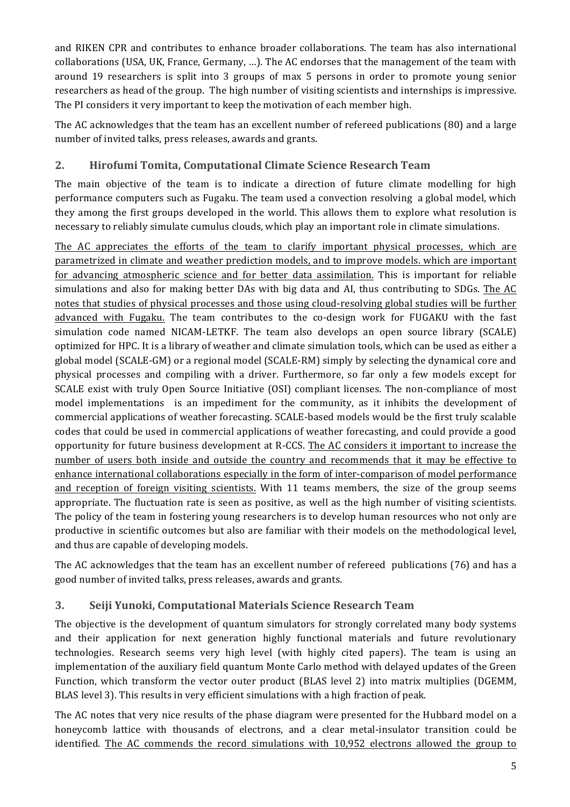and RIKEN CPR and contributes to enhance broader collaborations. The team has also international collaborations (USA, UK, France, Germany, ...). The AC endorses that the management of the team with around 19 researchers is split into 3 groups of max 5 persons in order to promote young senior researchers as head of the group. The high number of visiting scientists and internships is impressive. The PI considers it very important to keep the motivation of each member high.

The AC acknowledges that the team has an excellent number of refereed publications (80) and a large number of invited talks, press releases, awards and grants.

#### **2. Hirofumi Tomita, Computational Climate Science Research Team**

The main objective of the team is to indicate a direction of future climate modelling for high performance computers such as Fugaku. The team used a convection resolving a global model, which they among the first groups developed in the world. This allows them to explore what resolution is necessary to reliably simulate cumulus clouds, which play an important role in climate simulations.

The AC appreciates the efforts of the team to clarify important physical processes, which are parametrized in climate and weather prediction models, and to improve models. which are important for advancing atmospheric science and for better data assimilation. This is important for reliable simulations and also for making better DAs with big data and AI, thus contributing to SDGs. The AC notes that studies of physical processes and those using cloud-resolving global studies will be further advanced with Fugaku. The team contributes to the co-design work for FUGAKU with the fast simulation code named NICAM-LETKF. The team also develops an open source library (SCALE) optimized for HPC. It is a library of weather and climate simulation tools, which can be used as either a global model (SCALE-GM) or a regional model (SCALE-RM) simply by selecting the dynamical core and physical processes and compiling with a driver. Furthermore, so far only a few models except for SCALE exist with truly Open Source Initiative (OSI) compliant licenses. The non-compliance of most model implementations is an impediment for the community, as it inhibits the development of commercial applications of weather forecasting. SCALE-based models would be the first truly scalable codes that could be used in commercial applications of weather forecasting, and could provide a good opportunity for future business development at R-CCS. The AC considers it important to increase the number of users both inside and outside the country and recommends that it may be effective to enhance international collaborations especially in the form of inter-comparison of model performance and reception of foreign visiting scientists. With 11 teams members, the size of the group seems appropriate. The fluctuation rate is seen as positive, as well as the high number of visiting scientists. The policy of the team in fostering young researchers is to develop human resources who not only are productive in scientific outcomes but also are familiar with their models on the methodological level, and thus are capable of developing models.

The AC acknowledges that the team has an excellent number of refereed publications (76) and has a good number of invited talks, press releases, awards and grants.

## **3. Seiji Yunoki, Computational Materials Science Research Team**

The objective is the development of quantum simulators for strongly correlated many body systems and their application for next generation highly functional materials and future revolutionary technologies. Research seems very high level (with highly cited papers). The team is using an implementation of the auxiliary field quantum Monte Carlo method with delayed updates of the Green Function, which transform the vector outer product (BLAS level 2) into matrix multiplies (DGEMM, BLAS level 3). This results in very efficient simulations with a high fraction of peak.

The AC notes that very nice results of the phase diagram were presented for the Hubbard model on a honeycomb lattice with thousands of electrons, and a clear metal-insulator transition could be identified. The AC commends the record simulations with 10,952 electrons allowed the group to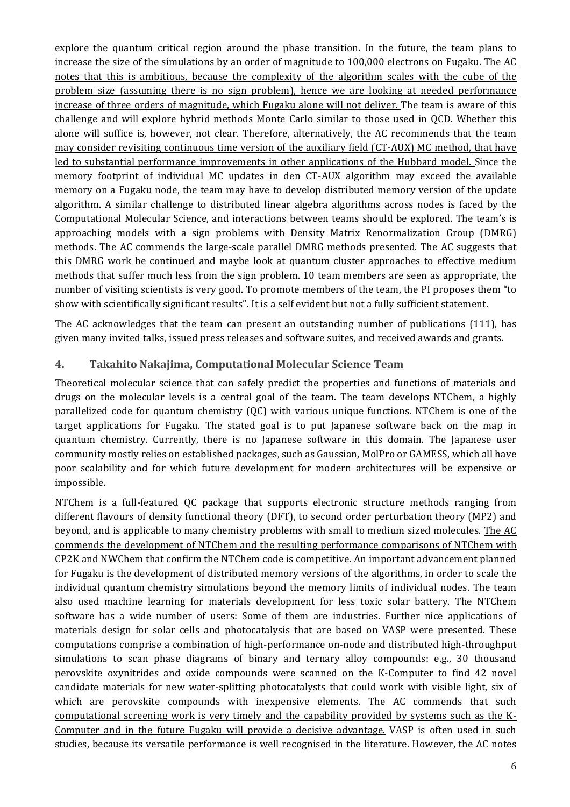explore the quantum critical region around the phase transition. In the future, the team plans to increase the size of the simulations by an order of magnitude to  $100,000$  electrons on Fugaku. The AC notes that this is ambitious, because the complexity of the algorithm scales with the cube of the problem size (assuming there is no sign problem), hence we are looking at needed performance increase of three orders of magnitude, which Fugaku alone will not deliver. The team is aware of this challenge and will explore hybrid methods Monte Carlo similar to those used in QCD. Whether this alone will suffice is, however, not clear. Therefore, alternatively, the AC recommends that the team may consider revisiting continuous time version of the auxiliary field (CT-AUX) MC method, that have led to substantial performance improvements in other applications of the Hubbard model. Since the memory footprint of individual MC updates in den CT-AUX algorithm may exceed the available memory on a Fugaku node, the team may have to develop distributed memory version of the update algorithm. A similar challenge to distributed linear algebra algorithms across nodes is faced by the Computational Molecular Science, and interactions between teams should be explored. The team's is approaching models with a sign problems with Density Matrix Renormalization Group (DMRG) methods. The AC commends the large-scale parallel DMRG methods presented. The AC suggests that this DMRG work be continued and maybe look at quantum cluster approaches to effective medium methods that suffer much less from the sign problem. 10 team members are seen as appropriate, the number of visiting scientists is very good. To promote members of the team, the PI proposes them "to show with scientifically significant results". It is a self evident but not a fully sufficient statement.

The AC acknowledges that the team can present an outstanding number of publications (111), has given many invited talks, issued press releases and software suites, and received awards and grants.

#### **4. Takahito Nakajima, Computational Molecular Science Team**

Theoretical molecular science that can safely predict the properties and functions of materials and drugs on the molecular levels is a central goal of the team. The team develops NTChem, a highly parallelized code for quantum chemistry  $(QC)$  with various unique functions. NTChem is one of the target applications for Fugaku. The stated goal is to put Japanese software back on the map in quantum chemistry. Currently, there is no Japanese software in this domain. The Japanese user community mostly relies on established packages, such as Gaussian, MolPro or GAMESS, which all have poor scalability and for which future development for modern architectures will be expensive or impossible. 

NTChem is a full-featured QC package that supports electronic structure methods ranging from different flavours of density functional theory (DFT), to second order perturbation theory (MP2) and beyond, and is applicable to many chemistry problems with small to medium sized molecules. The AC commends the development of NTChem and the resulting performance comparisons of NTChem with CP2K and NWChem that confirm the NTChem code is competitive. An important advancement planned for Fugaku is the development of distributed memory versions of the algorithms, in order to scale the individual quantum chemistry simulations beyond the memory limits of individual nodes. The team also used machine learning for materials development for less toxic solar battery. The NTChem software has a wide number of users: Some of them are industries. Further nice applications of materials design for solar cells and photocatalysis that are based on VASP were presented. These computations comprise a combination of high-performance on-node and distributed high-throughput simulations to scan phase diagrams of binary and ternary alloy compounds:  $e.g., 30$  thousand perovskite oxynitrides and oxide compounds were scanned on the K-Computer to find 42 novel candidate materials for new water-splitting photocatalysts that could work with visible light, six of which are perovskite compounds with inexpensive elements. The AC commends that such computational screening work is very timely and the capability provided by systems such as the K-Computer and in the future Fugaku will provide a decisive advantage. VASP is often used in such studies, because its versatile performance is well recognised in the literature. However, the AC notes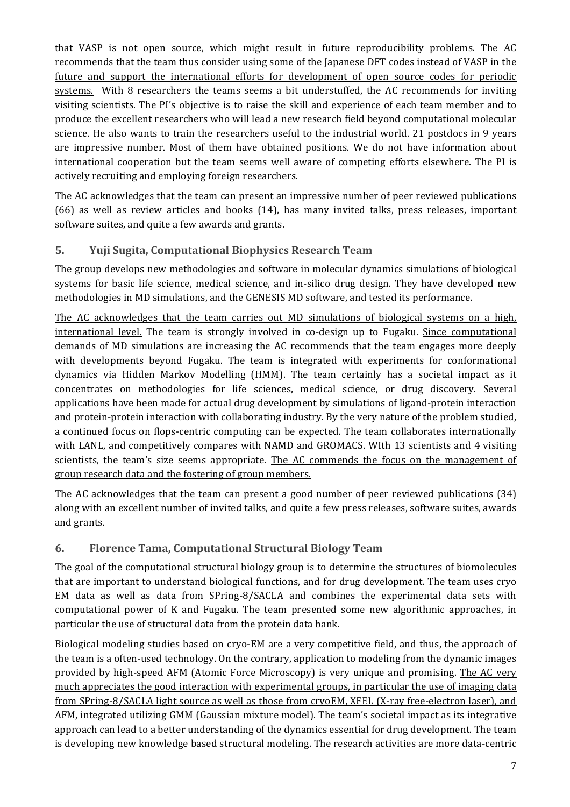that VASP is not open source, which might result in future reproducibility problems. The AC recommends that the team thus consider using some of the Japanese DFT codes instead of VASP in the future and support the international efforts for development of open source codes for periodic systems. With 8 researchers the teams seems a bit understuffed, the AC recommends for inviting visiting scientists. The PI's objective is to raise the skill and experience of each team member and to produce the excellent researchers who will lead a new research field beyond computational molecular science. He also wants to train the researchers useful to the industrial world. 21 postdocs in 9 years are impressive number. Most of them have obtained positions. We do not have information about international cooperation but the team seems well aware of competing efforts elsewhere. The PI is actively recruiting and employing foreign researchers.

The AC acknowledges that the team can present an impressive number of peer reviewed publications  $(66)$  as well as review articles and books  $(14)$ , has many invited talks, press releases, important software suites, and quite a few awards and grants.

#### **5. Yuji Sugita, Computational Biophysics Research Team**

The group develops new methodologies and software in molecular dynamics simulations of biological systems for basic life science, medical science, and in-silico drug design. They have developed new methodologies in MD simulations, and the GENESIS MD software, and tested its performance.

The AC acknowledges that the team carries out MD simulations of biological systems on a high, international level. The team is strongly involved in co-design up to Fugaku. Since computational demands of MD simulations are increasing the AC recommends that the team engages more deeply with developments beyond Fugaku. The team is integrated with experiments for conformational dynamics via Hidden Markov Modelling (HMM). The team certainly has a societal impact as it concentrates on methodologies for life sciences, medical science, or drug discovery. Several applications have been made for actual drug development by simulations of ligand-protein interaction and protein-protein interaction with collaborating industry. By the very nature of the problem studied, a continued focus on flops-centric computing can be expected. The team collaborates internationally with LANL, and competitively compares with NAMD and GROMACS. WIth 13 scientists and 4 visiting scientists, the team's size seems appropriate. The AC commends the focus on the management of group research data and the fostering of group members.

The AC acknowledges that the team can present a good number of peer reviewed publications (34) along with an excellent number of invited talks, and quite a few press releases, software suites, awards and grants.

#### **6. Florence Tama, Computational Structural Biology Team**

The goal of the computational structural biology group is to determine the structures of biomolecules that are important to understand biological functions, and for drug development. The team uses cryo EM data as well as data from  $SPring-8/SACLA$  and combines the experimental data sets with computational power of K and Fugaku. The team presented some new algorithmic approaches, in particular the use of structural data from the protein data bank.

Biological modeling studies based on cryo-EM are a very competitive field, and thus, the approach of the team is a often-used technology. On the contrary, application to modeling from the dynamic images provided by high-speed AFM (Atomic Force Microscopy) is very unique and promising. The AC very much appreciates the good interaction with experimental groups, in particular the use of imaging data from SPring-8/SACLA light source as well as those from cryoEM, XFEL (X-ray free-electron laser), and AFM, integrated utilizing GMM (Gaussian mixture model). The team's societal impact as its integrative approach can lead to a better understanding of the dynamics essential for drug development. The team is developing new knowledge based structural modeling. The research activities are more data-centric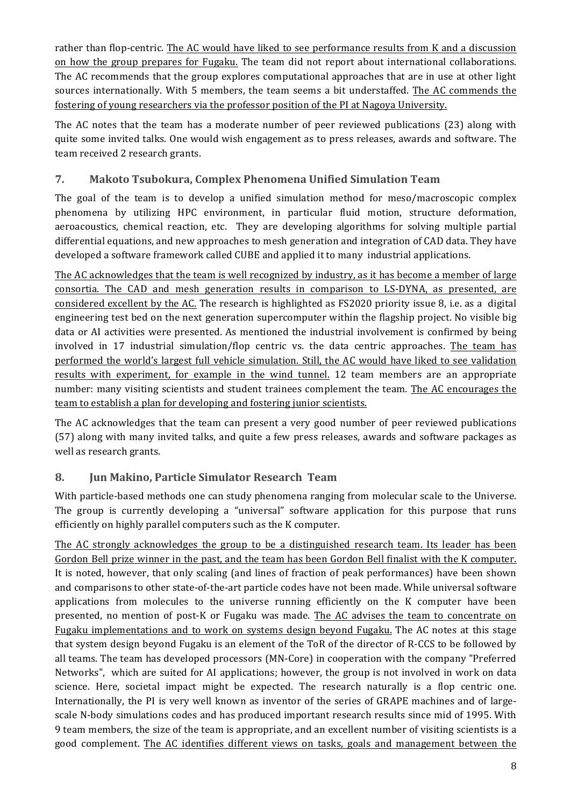rather than flop-centric. The AC would have liked to see performance results from K and a discussion on how the group prepares for Fugaku. The team did not report about international collaborations. The AC recommends that the group explores computational approaches that are in use at other light sources internationally. With 5 members, the team seems a bit understaffed. The AC commends the fostering of young researchers via the professor position of the PI at Nagoya University.

The AC notes that the team has a moderate number of peer reviewed publications (23) along with quite some invited talks. One would wish engagement as to press releases, awards and software. The team received 2 research grants.

#### **7. Makoto Tsubokura, Complex Phenomena Unified Simulation Team**

The goal of the team is to develop a unified simulation method for meso/macroscopic complex phenomena by utilizing HPC environment, in particular fluid motion, structure deformation, aeroacoustics, chemical reaction, etc. They are developing algorithms for solving multiple partial differential equations, and new approaches to mesh generation and integration of CAD data. They have developed a software framework called CUBE and applied it to many industrial applications.

The AC acknowledges that the team is well recognized by industry, as it has become a member of large consortia. The CAD and mesh generation results in comparison to LS-DYNA, as presented, are considered excellent by the AC. The research is highlighted as FS2020 priority issue 8, i.e. as a digital engineering test bed on the next generation supercomputer within the flagship project. No visible big data or AI activities were presented. As mentioned the industrial involvement is confirmed by being involved in 17 industrial simulation/flop centric vs. the data centric approaches. The team has performed the world's largest full vehicle simulation. Still, the AC would have liked to see validation results with experiment, for example in the wind tunnel. 12 team members are an appropriate number: many visiting scientists and student trainees complement the team. The AC encourages the team to establish a plan for developing and fostering junior scientists.

The AC acknowledges that the team can present a very good number of peer reviewed publications (57) along with many invited talks, and quite a few press releases, awards and software packages as well as research grants.

#### **8. Jun Makino, Particle Simulator Research Team**

With particle-based methods one can study phenomena ranging from molecular scale to the Universe. The group is currently developing a "universal" software application for this purpose that runs efficiently on highly parallel computers such as the K computer.

The AC strongly acknowledges the group to be a distinguished research team. Its leader has been Gordon Bell prize winner in the past, and the team has been Gordon Bell finalist with the K computer. It is noted, however, that only scaling (and lines of fraction of peak performances) have been shown and comparisons to other state-of-the-art particle codes have not been made. While universal software applications from molecules to the universe running efficiently on the K computer have been presented, no mention of post-K or Fugaku was made. The AC advises the team to concentrate on Fugaku implementations and to work on systems design beyond Fugaku. The AC notes at this stage that system design beyond Fugaku is an element of the ToR of the director of R-CCS to be followed by all teams. The team has developed processors (MN-Core) in cooperation with the company "Preferred Networks", which are suited for AI applications; however, the group is not involved in work on data science. Here, societal impact might be expected. The research naturally is a flop centric one. Internationally, the PI is very well known as inventor of the series of GRAPE machines and of largescale N-body simulations codes and has produced important research results since mid of 1995. With 9 team members, the size of the team is appropriate, and an excellent number of visiting scientists is a good complement. The AC identifies different views on tasks, goals and management between the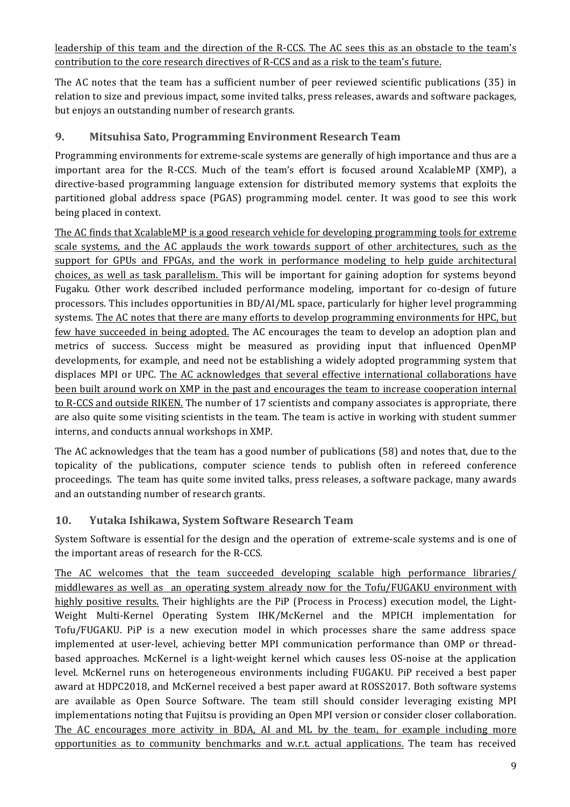leadership of this team and the direction of the R-CCS. The AC sees this as an obstacle to the team's contribution to the core research directives of R-CCS and as a risk to the team's future.

The AC notes that the team has a sufficient number of peer reviewed scientific publications (35) in relation to size and previous impact, some invited talks, press releases, awards and software packages, but enjoys an outstanding number of research grants.

#### **9. Mitsuhisa Sato, Programming Environment Research Team**

Programming environments for extreme-scale systems are generally of high importance and thus are a important area for the R-CCS. Much of the team's effort is focused around XcalableMP (XMP), a directive-based programming language extension for distributed memory systems that exploits the partitioned global address space (PGAS) programming model. center. It was good to see this work being placed in context.

The AC finds that XcalableMP is a good research vehicle for developing programming tools for extreme scale systems, and the AC applauds the work towards support of other architectures, such as the support for GPUs and FPGAs, and the work in performance modeling to help guide architectural choices, as well as task parallelism. This will be important for gaining adoption for systems beyond Fugaku. Other work described included performance modeling, important for co-design of future processors. This includes opportunities in  $BD/AI/ML$  space, particularly for higher level programming systems. The AC notes that there are many efforts to develop programming environments for HPC, but few have succeeded in being adopted. The AC encourages the team to develop an adoption plan and metrics of success. Success might be measured as providing input that influenced OpenMP developments, for example, and need not be establishing a widely adopted programming system that displaces MPI or UPC. The AC acknowledges that several effective international collaborations have been built around work on XMP in the past and encourages the team to increase cooperation internal to R-CCS and outside RIKEN. The number of 17 scientists and company associates is appropriate, there are also quite some visiting scientists in the team. The team is active in working with student summer interns, and conducts annual workshops in XMP.

The AC acknowledges that the team has a good number of publications (58) and notes that, due to the topicality of the publications, computer science tends to publish often in refereed conference proceedings. The team has quite some invited talks, press releases, a software package, many awards and an outstanding number of research grants.

## **10. Yutaka Ishikawa, System Software Research Team**

System Software is essential for the design and the operation of extreme-scale systems and is one of the important areas of research for the R-CCS.

The AC welcomes that the team succeeded developing scalable high performance libraries/ middlewares as well as an operating system already now for the Tofu/FUGAKU environment with highly positive results. Their highlights are the PiP (Process in Process) execution model, the Light-Weight Multi-Kernel Operating System IHK/McKernel and the MPICH implementation for Tofu/FUGAKU. PiP is a new execution model in which processes share the same address space implemented at user-level, achieving better MPI communication performance than OMP or threadbased approaches. McKernel is a light-weight kernel which causes less OS-noise at the application level. McKernel runs on heterogeneous environments including FUGAKU. PiP received a best paper award at HDPC2018, and McKernel received a best paper award at ROSS2017. Both software systems are available as Open Source Software. The team still should consider leveraging existing MPI implementations noting that Fujitsu is providing an Open MPI version or consider closer collaboration. The AC encourages more activity in BDA, AI and ML by the team, for example including more opportunities as to community benchmarks and w.r.t. actual applications. The team has received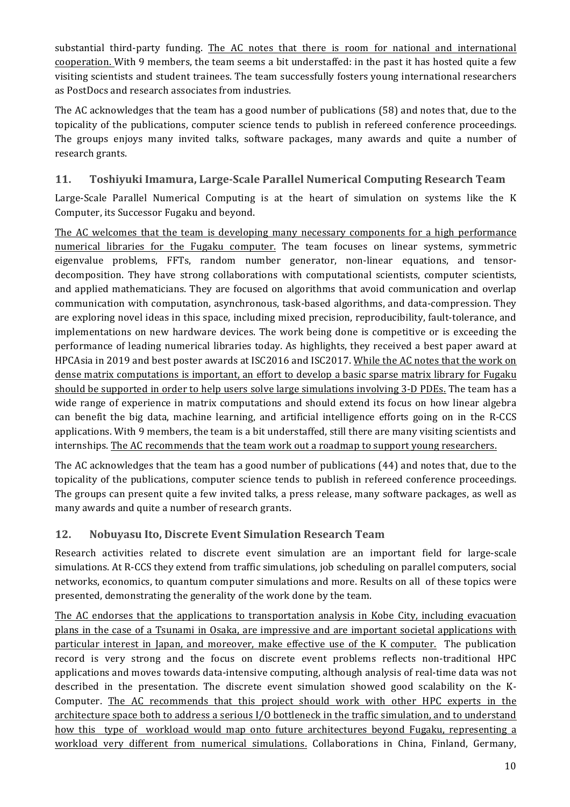substantial third-party funding. The AC notes that there is room for national and international cooperation. With 9 members, the team seems a bit understaffed: in the past it has hosted quite a few visiting scientists and student trainees. The team successfully fosters young international researchers as PostDocs and research associates from industries.

The AC acknowledges that the team has a good number of publications (58) and notes that, due to the topicality of the publications, computer science tends to publish in refereed conference proceedings. The groups enjoys many invited talks, software packages, many awards and quite a number of research grants.

#### **11.** Toshiyuki Imamura, Large-Scale Parallel Numerical Computing Research Team

Large-Scale Parallel Numerical Computing is at the heart of simulation on systems like the K Computer, its Successor Fugaku and beyond.

The AC welcomes that the team is developing many necessary components for a high performance numerical libraries for the Fugaku computer. The team focuses on linear systems, symmetric eigenvalue problems, FFTs, random number generator, non-linear equations, and tensordecomposition. They have strong collaborations with computational scientists, computer scientists, and applied mathematicians. They are focused on algorithms that avoid communication and overlap communication with computation, asynchronous, task-based algorithms, and data-compression. They are exploring novel ideas in this space, including mixed precision, reproducibility, fault-tolerance, and implementations on new hardware devices. The work being done is competitive or is exceeding the performance of leading numerical libraries today. As highlights, they received a best paper award at HPCAsia in 2019 and best poster awards at ISC2016 and ISC2017. While the AC notes that the work on dense matrix computations is important, an effort to develop a basic sparse matrix library for Fugaku should be supported in order to help users solve large simulations involving 3-D PDEs. The team has a wide range of experience in matrix computations and should extend its focus on how linear algebra can benefit the big data, machine learning, and artificial intelligence efforts going on in the R-CCS applications. With 9 members, the team is a bit understaffed, still there are many visiting scientists and internships. The AC recommends that the team work out a roadmap to support young researchers.

The AC acknowledges that the team has a good number of publications (44) and notes that, due to the topicality of the publications, computer science tends to publish in refereed conference proceedings. The groups can present quite a few invited talks, a press release, many software packages, as well as many awards and quite a number of research grants.

#### **12. Nobuyasu Ito, Discrete Event Simulation Research Team**

Research activities related to discrete event simulation are an important field for large-scale simulations. At R-CCS they extend from traffic simulations, job scheduling on parallel computers, social networks, economics, to quantum computer simulations and more. Results on all of these topics were presented, demonstrating the generality of the work done by the team.

The AC endorses that the applications to transportation analysis in Kobe City, including evacuation plans in the case of a Tsunami in Osaka, are impressive and are important societal applications with particular interest in Japan, and moreover, make effective use of the K computer. The publication record is very strong and the focus on discrete event problems reflects non-traditional HPC applications and moves towards data-intensive computing, although analysis of real-time data was not described in the presentation. The discrete event simulation showed good scalability on the K-Computer. The AC recommends that this project should work with other HPC experts in the architecture space both to address a serious I/O bottleneck in the traffic simulation, and to understand how this type of workload would map onto future architectures beyond Fugaku, representing a workload very different from numerical simulations. Collaborations in China, Finland, Germany,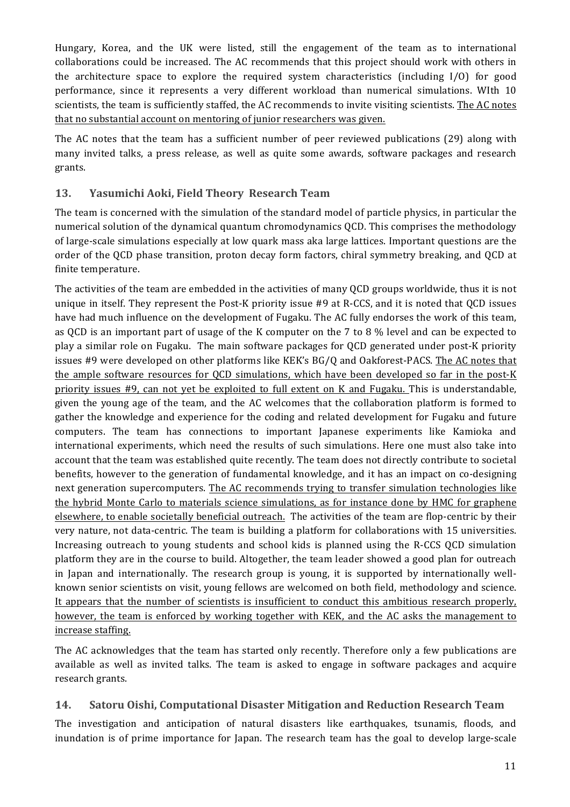Hungary, Korea, and the UK were listed, still the engagement of the team as to international collaborations could be increased. The AC recommends that this project should work with others in the architecture space to explore the required system characteristics (including  $I/O$ ) for good performance, since it represents a very different workload than numerical simulations. WIth 10 scientists, the team is sufficiently staffed, the AC recommends to invite visiting scientists. The AC notes that no substantial account on mentoring of junior researchers was given.

The AC notes that the team has a sufficient number of peer reviewed publications (29) along with many invited talks, a press release, as well as quite some awards, software packages and research grants.

#### 13. Yasumichi Aoki, Field Theory Research Team

The team is concerned with the simulation of the standard model of particle physics, in particular the numerical solution of the dynamical quantum chromodynamics QCD. This comprises the methodology of large-scale simulations especially at low quark mass aka large lattices. Important questions are the order of the QCD phase transition, proton decay form factors, chiral symmetry breaking, and QCD at finite temperature.

The activities of the team are embedded in the activities of many QCD groups worldwide, thus it is not unique in itself. They represent the Post-K priority issue  $#9$  at R-CCS, and it is noted that OCD issues have had much influence on the development of Fugaku. The AC fully endorses the work of this team, as QCD is an important part of usage of the K computer on the  $7$  to  $8\%$  level and can be expected to play a similar role on Fugaku. The main software packages for QCD generated under post-K priority issues  $#9$  were developed on other platforms like KEK's  $BG/Q$  and Oakforest-PACS. The AC notes that the ample software resources for OCD simulations, which have been developed so far in the post-K priority issues  $#9$ , can not yet be exploited to full extent on K and Fugaku. This is understandable, given the young age of the team, and the AC welcomes that the collaboration platform is formed to gather the knowledge and experience for the coding and related development for Fugaku and future computers. The team has connections to important Japanese experiments like Kamioka and international experiments, which need the results of such simulations. Here one must also take into account that the team was established quite recently. The team does not directly contribute to societal benefits, however to the generation of fundamental knowledge, and it has an impact on co-designing next generation supercomputers. The AC recommends trying to transfer simulation technologies like the hybrid Monte Carlo to materials science simulations, as for instance done by HMC for graphene elsewhere, to enable societally beneficial outreach. The activities of the team are flop-centric by their very nature, not data-centric. The team is building a platform for collaborations with 15 universities. Increasing outreach to young students and school kids is planned using the R-CCS QCD simulation platform they are in the course to build. Altogether, the team leader showed a good plan for outreach in Japan and internationally. The research group is young, it is supported by internationally wellknown senior scientists on visit, young fellows are welcomed on both field, methodology and science. It appears that the number of scientists is insufficient to conduct this ambitious research properly, however, the team is enforced by working together with KEK, and the AC asks the management to increase staffing.

The AC acknowledges that the team has started only recently. Therefore only a few publications are available as well as invited talks. The team is asked to engage in software packages and acquire research grants.

#### **14. Satoru Oishi, Computational Disaster Mitigation and Reduction Research Team**

The investigation and anticipation of natural disasters like earthquakes, tsunamis, floods, and inundation is of prime importance for Japan. The research team has the goal to develop large-scale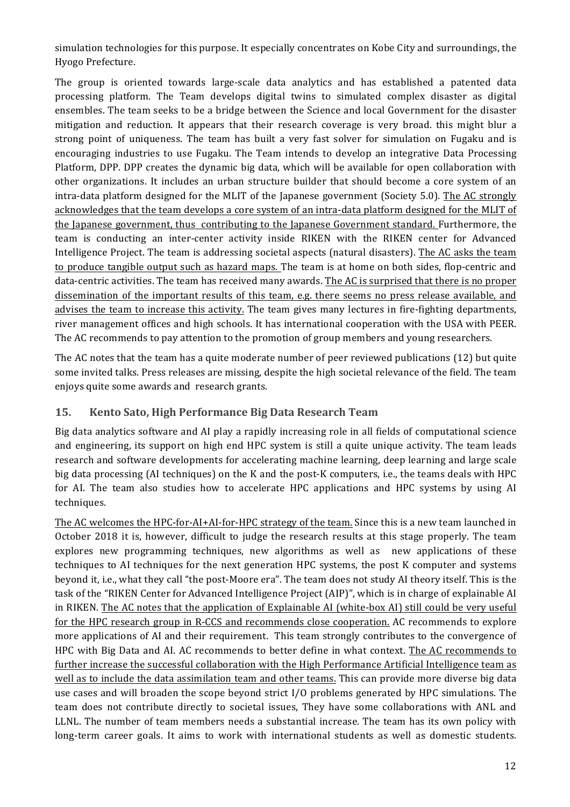simulation technologies for this purpose. It especially concentrates on Kobe City and surroundings, the Hyogo Prefecture.

The group is oriented towards large-scale data analytics and has established a patented data processing platform. The Team develops digital twins to simulated complex disaster as digital ensembles. The team seeks to be a bridge between the Science and local Government for the disaster mitigation and reduction. It appears that their research coverage is very broad. this might blur a strong point of uniqueness. The team has built a very fast solver for simulation on Fugaku and is encouraging industries to use Fugaku. The Team intends to develop an integrative Data Processing Platform, DPP. DPP creates the dynamic big data, which will be available for open collaboration with other organizations. It includes an urban structure builder that should become a core system of an intra-data platform designed for the MLIT of the Japanese government (Society 5.0). The AC strongly acknowledges that the team develops a core system of an intra-data platform designed for the MLIT of the Japanese government, thus contributing to the Japanese Government standard. Furthermore, the team is conducting an inter-center activity inside RIKEN with the RIKEN center for Advanced Intelligence Project. The team is addressing societal aspects (natural disasters). The AC asks the team to produce tangible output such as hazard maps. The team is at home on both sides, flop-centric and data-centric activities. The team has received many awards. The AC is surprised that there is no proper dissemination of the important results of this team, e.g. there seems no press release available, and advises the team to increase this activity. The team gives many lectures in fire-fighting departments, river management offices and high schools. It has international cooperation with the USA with PEER. The AC recommends to pay attention to the promotion of group members and young researchers.

The AC notes that the team has a quite moderate number of peer reviewed publications  $(12)$  but quite some invited talks. Press releases are missing, despite the high societal relevance of the field. The team enjoys quite some awards and research grants.

#### **15. Kento Sato, High Performance Big Data Research Team**

Big data analytics software and AI play a rapidly increasing role in all fields of computational science and engineering, its support on high end HPC system is still a quite unique activity. The team leads research and software developments for accelerating machine learning, deep learning and large scale big data processing (AI techniques) on the K and the post-K computers, i.e., the teams deals with HPC for AI. The team also studies how to accelerate HPC applications and HPC systems by using AI techniques.

The AC welcomes the HPC-for-AI+AI-for-HPC strategy of the team. Since this is a new team launched in October 2018 it is, however, difficult to judge the research results at this stage properly. The team explores new programming techniques, new algorithms as well as new applications of these techniques to AI techniques for the next generation HPC systems, the post K computer and systems beyond it, i.e., what they call "the post-Moore era". The team does not study AI theory itself. This is the task of the "RIKEN Center for Advanced Intelligence Project (AIP)", which is in charge of explainable AI in RIKEN. The AC notes that the application of Explainable AI (white-box AI) still could be very useful for the HPC research group in R-CCS and recommends close cooperation. AC recommends to explore more applications of AI and their requirement. This team strongly contributes to the convergence of HPC with Big Data and AI. AC recommends to better define in what context. The AC recommends to further increase the successful collaboration with the High Performance Artificial Intelligence team as well as to include the data assimilation team and other teams. This can provide more diverse big data use cases and will broaden the scope beyond strict  $I/O$  problems generated by HPC simulations. The team does not contribute directly to societal issues, They have some collaborations with ANL and LLNL. The number of team members needs a substantial increase. The team has its own policy with long-term career goals. It aims to work with international students as well as domestic students.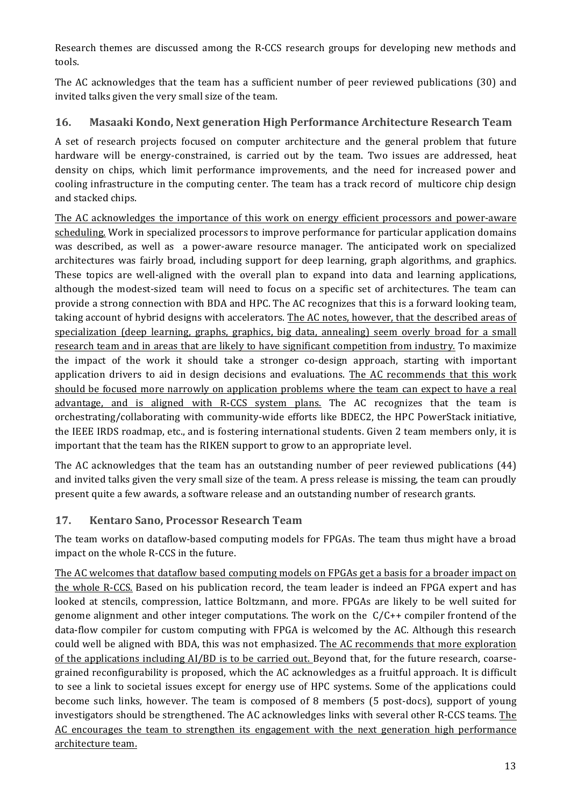Research themes are discussed among the R-CCS research groups for developing new methods and tools. 

The AC acknowledges that the team has a sufficient number of peer reviewed publications (30) and invited talks given the very small size of the team.

#### **16.** Masaaki Kondo, Next generation High Performance Architecture Research Team

A set of research projects focused on computer architecture and the general problem that future hardware will be energy-constrained, is carried out by the team. Two issues are addressed, heat density on chips, which limit performance improvements, and the need for increased power and cooling infrastructure in the computing center. The team has a track record of multicore chip design and stacked chips.

The AC acknowledges the importance of this work on energy efficient processors and power-aware scheduling. Work in specialized processors to improve performance for particular application domains was described, as well as a power-aware resource manager. The anticipated work on specialized architectures was fairly broad, including support for deep learning, graph algorithms, and graphics. These topics are well-aligned with the overall plan to expand into data and learning applications, although the modest-sized team will need to focus on a specific set of architectures. The team can provide a strong connection with BDA and HPC. The AC recognizes that this is a forward looking team, taking account of hybrid designs with accelerators. The AC notes, however, that the described areas of specialization (deep learning, graphs, graphics, big data, annealing) seem overly broad for a small research team and in areas that are likely to have significant competition from industry. To maximize the impact of the work it should take a stronger co-design approach, starting with important application drivers to aid in design decisions and evaluations. The AC recommends that this work should be focused more narrowly on application problems where the team can expect to have a real advantage, and is aligned with R-CCS system plans. The AC recognizes that the team is orchestrating/collaborating with community-wide efforts like BDEC2, the HPC PowerStack initiative, the IEEE IRDS roadmap, etc., and is fostering international students. Given 2 team members only, it is important that the team has the RIKEN support to grow to an appropriate level.

The AC acknowledges that the team has an outstanding number of peer reviewed publications (44) and invited talks given the very small size of the team. A press release is missing, the team can proudly present quite a few awards, a software release and an outstanding number of research grants.

#### **17. Kentaro Sano, Processor Research Team**

The team works on dataflow-based computing models for FPGAs. The team thus might have a broad impact on the whole R-CCS in the future.

The AC welcomes that dataflow based computing models on FPGAs get a basis for a broader impact on the whole R-CCS. Based on his publication record, the team leader is indeed an FPGA expert and has looked at stencils, compression, lattice Boltzmann, and more. FPGAs are likely to be well suited for genome alignment and other integer computations. The work on the  $C/C++$  compiler frontend of the data-flow compiler for custom computing with FPGA is welcomed by the AC. Although this research could well be aligned with BDA, this was not emphasized. The AC recommends that more exploration of the applications including  $AI/BD$  is to be carried out. Beyond that, for the future research, coarsegrained reconfigurability is proposed, which the AC acknowledges as a fruitful approach. It is difficult to see a link to societal issues except for energy use of HPC systems. Some of the applications could become such links, however. The team is composed of 8 members (5 post-docs), support of young investigators should be strengthened. The AC acknowledges links with several other R-CCS teams. The AC encourages the team to strengthen its engagement with the next generation high performance architecture team.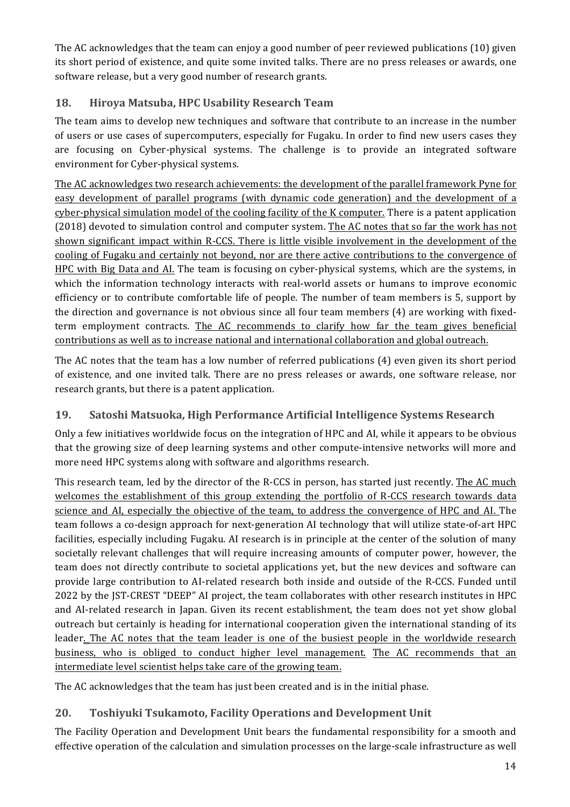The AC acknowledges that the team can enjoy a good number of peer reviewed publications  $(10)$  given its short period of existence, and quite some invited talks. There are no press releases or awards, one software release, but a very good number of research grants.

#### **18. Hiroya Matsuba, HPC Usability Research Team**

The team aims to develop new techniques and software that contribute to an increase in the number of users or use cases of supercomputers, especially for Fugaku. In order to find new users cases they are focusing on Cyber-physical systems. The challenge is to provide an integrated software environment for Cyber-physical systems.

The AC acknowledges two research achievements: the development of the parallel framework Pyne for easy development of parallel programs (with dynamic code generation) and the development of a cyber-physical simulation model of the cooling facility of the K computer. There is a patent application (2018) devoted to simulation control and computer system. The AC notes that so far the work has not shown significant impact within R-CCS. There is little visible involvement in the development of the cooling of Fugaku and certainly not beyond, nor are there active contributions to the convergence of HPC with Big Data and AI. The team is focusing on cyber-physical systems, which are the systems, in which the information technology interacts with real-world assets or humans to improve economic efficiency or to contribute comfortable life of people. The number of team members is 5, support by the direction and governance is not obvious since all four team members  $(4)$  are working with fixedterm employment contracts. The AC recommends to clarify how far the team gives beneficial contributions as well as to increase national and international collaboration and global outreach.

The AC notes that the team has a low number of referred publications  $(4)$  even given its short period of existence, and one invited talk. There are no press releases or awards, one software release, nor research grants, but there is a patent application.

## 19. Satoshi Matsuoka, High Performance Artificial Intelligence Systems Research

Only a few initiatives worldwide focus on the integration of HPC and AI, while it appears to be obvious that the growing size of deep learning systems and other compute-intensive networks will more and more need HPC systems along with software and algorithms research.

This research team, led by the director of the R-CCS in person, has started just recently. The AC much welcomes the establishment of this group extending the portfolio of R-CCS research towards data science and AI, especially the objective of the team, to address the convergence of HPC and AI. The team follows a co-design approach for next-generation AI technology that will utilize state-of-art HPC facilities, especially including Fugaku. AI research is in principle at the center of the solution of many societally relevant challenges that will require increasing amounts of computer power, however, the team does not directly contribute to societal applications yet, but the new devices and software can provide large contribution to AI-related research both inside and outside of the R-CCS. Funded until 2022 by the IST-CREST "DEEP" AI project, the team collaborates with other research institutes in HPC and AI-related research in Japan. Given its recent establishment, the team does not yet show global outreach but certainly is heading for international cooperation given the international standing of its leader. The AC notes that the team leader is one of the busiest people in the worldwide research business, who is obliged to conduct higher level management. The AC recommends that an intermediate level scientist helps take care of the growing team.

The AC acknowledges that the team has just been created and is in the initial phase.

# **20. Toshiyuki Tsukamoto, Facility Operations and Development Unit**

The Facility Operation and Development Unit bears the fundamental responsibility for a smooth and effective operation of the calculation and simulation processes on the large-scale infrastructure as well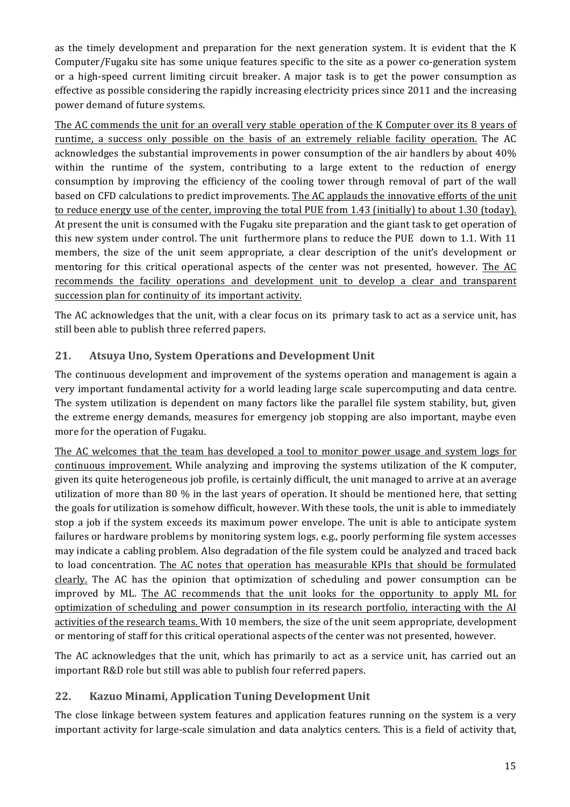as the timely development and preparation for the next generation system. It is evident that the K Computer/Fugaku site has some unique features specific to the site as a power co-generation system or a high-speed current limiting circuit breaker. A major task is to get the power consumption as effective as possible considering the rapidly increasing electricity prices since 2011 and the increasing power demand of future systems.

The AC commends the unit for an overall very stable operation of the K Computer over its 8 years of runtime, a success only possible on the basis of an extremely reliable facility operation. The AC acknowledges the substantial improvements in power consumption of the air handlers by about 40% within the runtime of the system, contributing to a large extent to the reduction of energy consumption by improving the efficiency of the cooling tower through removal of part of the wall based on CFD calculations to predict improvements. The AC applauds the innovative efforts of the unit to reduce energy use of the center, improving the total PUE from 1.43 (initially) to about 1.30 (today). At present the unit is consumed with the Fugaku site preparation and the giant task to get operation of this new system under control. The unit furthermore plans to reduce the PUE down to 1.1. With 11 members, the size of the unit seem appropriate, a clear description of the unit's development or mentoring for this critical operational aspects of the center was not presented, however. The AC recommends the facility operations and development unit to develop a clear and transparent succession plan for continuity of its important activity.

The AC acknowledges that the unit, with a clear focus on its primary task to act as a service unit, has still been able to publish three referred papers.

#### **21. Atsuya Uno, System Operations and Development Unit**

The continuous development and improvement of the systems operation and management is again a very important fundamental activity for a world leading large scale supercomputing and data centre. The system utilization is dependent on many factors like the parallel file system stability, but, given the extreme energy demands, measures for emergency job stopping are also important, maybe even more for the operation of Fugaku.

The AC welcomes that the team has developed a tool to monitor power usage and system logs for continuous improvement. While analyzing and improving the systems utilization of the K computer, given its quite heterogeneous job profile, is certainly difficult, the unit managed to arrive at an average utilization of more than 80  $\%$  in the last years of operation. It should be mentioned here, that setting the goals for utilization is somehow difficult, however. With these tools, the unit is able to immediately stop a job if the system exceeds its maximum power envelope. The unit is able to anticipate system failures or hardware problems by monitoring system logs, e.g., poorly performing file system accesses may indicate a cabling problem. Also degradation of the file system could be analyzed and traced back to load concentration. The AC notes that operation has measurable KPIs that should be formulated clearly. The AC has the opinion that optimization of scheduling and power consumption can be improved by ML. The AC recommends that the unit looks for the opportunity to apply ML for optimization of scheduling and power consumption in its research portfolio, interacting with the AI activities of the research teams. With 10 members, the size of the unit seem appropriate, development or mentoring of staff for this critical operational aspects of the center was not presented, however.

The AC acknowledges that the unit, which has primarily to act as a service unit, has carried out an important R&D role but still was able to publish four referred papers.

#### **22. Kazuo Minami, Application Tuning Development Unit**

The close linkage between system features and application features running on the system is a very important activity for large-scale simulation and data analytics centers. This is a field of activity that,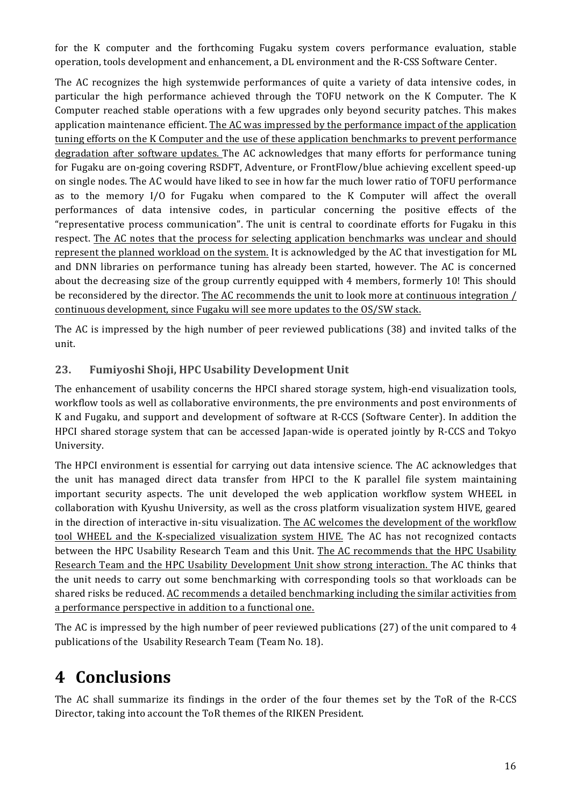for the K computer and the forthcoming Fugaku system covers performance evaluation, stable operation, tools development and enhancement, a DL environment and the R-CSS Software Center.

The AC recognizes the high systemwide performances of quite a variety of data intensive codes, in particular the high performance achieved through the TOFU network on the K Computer. The K Computer reached stable operations with a few upgrades only beyond security patches. This makes application maintenance efficient. The AC was impressed by the performance impact of the application tuning efforts on the K Computer and the use of these application benchmarks to prevent performance degradation after software updates. The AC acknowledges that many efforts for performance tuning for Fugaku are on-going covering RSDFT, Adventure, or FrontFlow/blue achieving excellent speed-up on single nodes. The AC would have liked to see in how far the much lower ratio of TOFU performance as to the memory I/O for Fugaku when compared to the K Computer will affect the overall performances of data intensive codes, in particular concerning the positive effects of the "representative process communication". The unit is central to coordinate efforts for Fugaku in this respect. The AC notes that the process for selecting application benchmarks was unclear and should represent the planned workload on the system. It is acknowledged by the AC that investigation for ML and DNN libraries on performance tuning has already been started, however. The AC is concerned about the decreasing size of the group currently equipped with 4 members, formerly 10! This should be reconsidered by the director. The AC recommends the unit to look more at continuous integration / continuous development, since Fugaku will see more updates to the OS/SW stack.

The AC is impressed by the high number of peer reviewed publications (38) and invited talks of the unit.

#### **23. Fumiyoshi Shoji, HPC Usability Development Unit**

The enhancement of usability concerns the HPCI shared storage system, high-end visualization tools, workflow tools as well as collaborative environments, the pre environments and post environments of K and Fugaku, and support and development of software at R-CCS (Software Center). In addition the HPCI shared storage system that can be accessed Japan-wide is operated jointly by R-CCS and Tokyo University. 

The HPCI environment is essential for carrying out data intensive science. The AC acknowledges that the unit has managed direct data transfer from HPCI to the K parallel file system maintaining important security aspects. The unit developed the web application workflow system WHEEL in collaboration with Kyushu University, as well as the cross platform visualization system HIVE, geared in the direction of interactive in-situ visualization. The AC welcomes the development of the workflow tool WHEEL and the K-specialized visualization system HIVE. The AC has not recognized contacts between the HPC Usability Research Team and this Unit. The AC recommends that the HPC Usability Research Team and the HPC Usability Development Unit show strong interaction. The AC thinks that the unit needs to carry out some benchmarking with corresponding tools so that workloads can be shared risks be reduced. AC recommends a detailed benchmarking including the similar activities from a performance perspective in addition to a functional one.

The AC is impressed by the high number of peer reviewed publications (27) of the unit compared to 4 publications of the Usability Research Team (Team No. 18).

# **4 Conclusions**

The AC shall summarize its findings in the order of the four themes set by the ToR of the R-CCS Director, taking into account the ToR themes of the RIKEN President.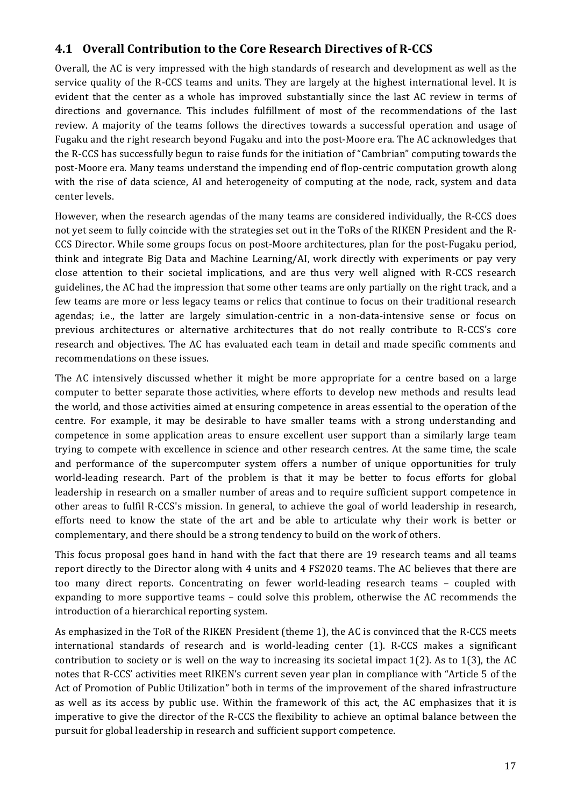# **4.1 Overall Contribution to the Core Research Directives of R-CCS**

Overall, the AC is very impressed with the high standards of research and development as well as the service quality of the R-CCS teams and units. They are largely at the highest international level. It is evident that the center as a whole has improved substantially since the last AC review in terms of directions and governance. This includes fulfillment of most of the recommendations of the last review. A majority of the teams follows the directives towards a successful operation and usage of Fugaku and the right research beyond Fugaku and into the post-Moore era. The AC acknowledges that the R-CCS has successfully begun to raise funds for the initiation of "Cambrian" computing towards the post-Moore era. Many teams understand the impending end of flop-centric computation growth along with the rise of data science, AI and heterogeneity of computing at the node, rack, system and data center levels. 

However, when the research agendas of the many teams are considered individually, the R-CCS does not yet seem to fully coincide with the strategies set out in the ToRs of the RIKEN President and the R-CCS Director. While some groups focus on post-Moore architectures, plan for the post-Fugaku period, think and integrate Big Data and Machine Learning/AI, work directly with experiments or pay very close attention to their societal implications, and are thus very well aligned with R-CCS research guidelines, the AC had the impression that some other teams are only partially on the right track, and a few teams are more or less legacy teams or relics that continue to focus on their traditional research agendas; i.e., the latter are largely simulation-centric in a non-data-intensive sense or focus on previous architectures or alternative architectures that do not really contribute to R-CCS's core research and objectives. The AC has evaluated each team in detail and made specific comments and recommendations on these issues.

The AC intensively discussed whether it might be more appropriate for a centre based on a large computer to better separate those activities, where efforts to develop new methods and results lead the world, and those activities aimed at ensuring competence in areas essential to the operation of the centre. For example, it may be desirable to have smaller teams with a strong understanding and competence in some application areas to ensure excellent user support than a similarly large team trying to compete with excellence in science and other research centres. At the same time, the scale and performance of the supercomputer system offers a number of unique opportunities for truly world-leading research. Part of the problem is that it may be better to focus efforts for global leadership in research on a smaller number of areas and to require sufficient support competence in other areas to fulfil R-CCS's mission. In general, to achieve the goal of world leadership in research, efforts need to know the state of the art and be able to articulate why their work is better or complementary, and there should be a strong tendency to build on the work of others.

This focus proposal goes hand in hand with the fact that there are 19 research teams and all teams report directly to the Director along with 4 units and 4 FS2020 teams. The AC believes that there are too many direct reports. Concentrating on fewer world-leading research teams – coupled with expanding to more supportive teams  $-$  could solve this problem, otherwise the AC recommends the introduction of a hierarchical reporting system.

As emphasized in the ToR of the RIKEN President (theme 1), the AC is convinced that the R-CCS meets international standards of research and is world-leading center (1). R-CCS makes a significant contribution to society or is well on the way to increasing its societal impact  $1(2)$ . As to  $1(3)$ , the AC notes that R-CCS' activities meet RIKEN's current seven year plan in compliance with "Article 5 of the Act of Promotion of Public Utilization" both in terms of the improvement of the shared infrastructure as well as its access by public use. Within the framework of this act, the AC emphasizes that it is imperative to give the director of the R-CCS the flexibility to achieve an optimal balance between the pursuit for global leadership in research and sufficient support competence.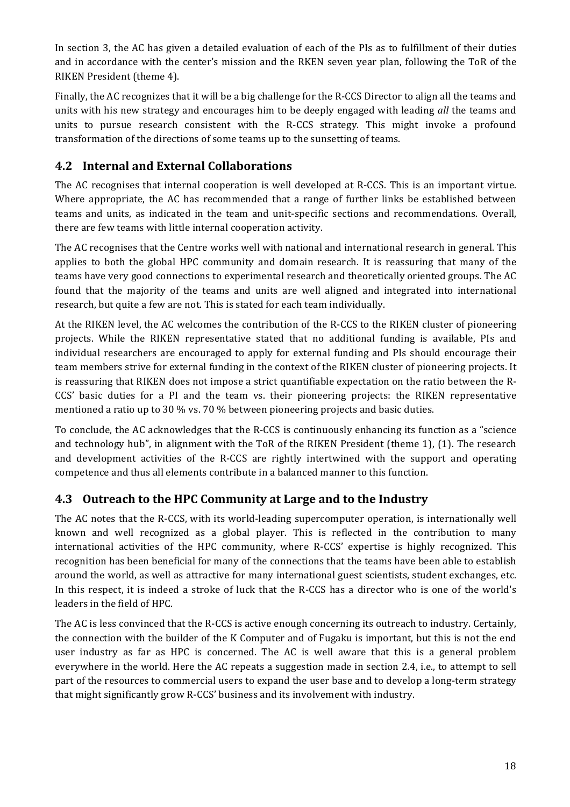In section 3, the AC has given a detailed evaluation of each of the PIs as to fulfillment of their duties and in accordance with the center's mission and the RKEN seven year plan, following the ToR of the RIKEN President (theme 4).

Finally, the AC recognizes that it will be a big challenge for the R-CCS Director to align all the teams and units with his new strategy and encourages him to be deeply engaged with leading *all* the teams and units to pursue research consistent with the R-CCS strategy. This might invoke a profound transformation of the directions of some teams up to the sunsetting of teams.

## **4.2 Internal and External Collaborations**

The AC recognises that internal cooperation is well developed at R-CCS. This is an important virtue. Where appropriate, the AC has recommended that a range of further links be established between teams and units, as indicated in the team and unit-specific sections and recommendations. Overall, there are few teams with little internal cooperation activity.

The AC recognises that the Centre works well with national and international research in general. This applies to both the global HPC community and domain research. It is reassuring that many of the teams have very good connections to experimental research and theoretically oriented groups. The AC found that the majority of the teams and units are well aligned and integrated into international research, but quite a few are not. This is stated for each team individually.

At the RIKEN level, the AC welcomes the contribution of the R-CCS to the RIKEN cluster of pioneering projects. While the RIKEN representative stated that no additional funding is available, PIs and individual researchers are encouraged to apply for external funding and PIs should encourage their team members strive for external funding in the context of the RIKEN cluster of pioneering projects. It is reassuring that RIKEN does not impose a strict quantifiable expectation on the ratio between the R-CCS' basic duties for a PI and the team vs. their pioneering projects: the RIKEN representative mentioned a ratio up to 30 % vs. 70 % between pioneering projects and basic duties.

To conclude, the AC acknowledges that the R-CCS is continuously enhancing its function as a "science" and technology hub", in alignment with the ToR of the RIKEN President (theme 1),  $(1)$ . The research and development activities of the R-CCS are rightly intertwined with the support and operating competence and thus all elements contribute in a balanced manner to this function.

## **4.3** Outreach to the HPC Community at Large and to the Industry

The AC notes that the R-CCS, with its world-leading supercomputer operation, is internationally well known and well recognized as a global player. This is reflected in the contribution to many international activities of the HPC community, where R-CCS' expertise is highly recognized. This recognition has been beneficial for many of the connections that the teams have been able to establish around the world, as well as attractive for many international guest scientists, student exchanges, etc. In this respect, it is indeed a stroke of luck that the R-CCS has a director who is one of the world's leaders in the field of HPC.

The AC is less convinced that the R-CCS is active enough concerning its outreach to industry. Certainly, the connection with the builder of the K Computer and of Fugaku is important, but this is not the end user industry as far as HPC is concerned. The AC is well aware that this is a general problem everywhere in the world. Here the AC repeats a suggestion made in section 2.4, i.e., to attempt to sell part of the resources to commercial users to expand the user base and to develop a long-term strategy that might significantly grow R-CCS' business and its involvement with industry.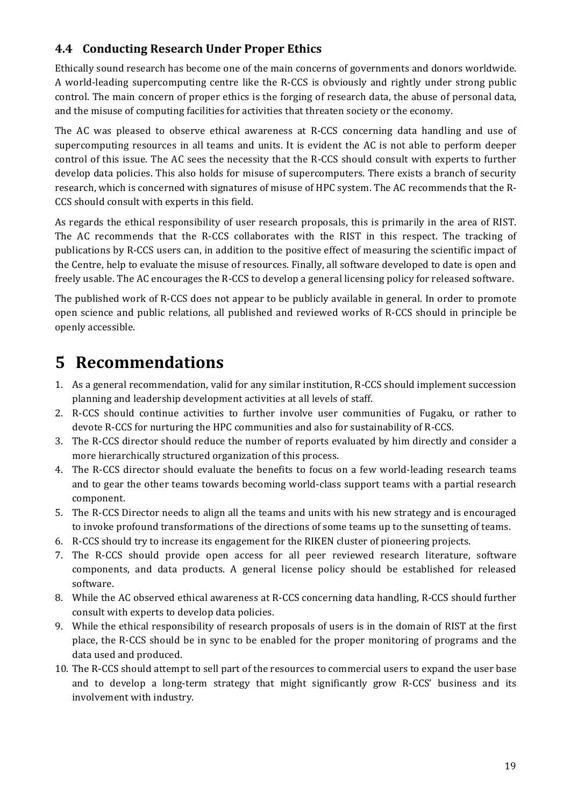# **4.4 Conducting Research Under Proper Ethics**

Ethically sound research has become one of the main concerns of governments and donors worldwide. A world-leading supercomputing centre like the R-CCS is obviously and rightly under strong public control. The main concern of proper ethics is the forging of research data, the abuse of personal data, and the misuse of computing facilities for activities that threaten society or the economy.

The AC was pleased to observe ethical awareness at R-CCS concerning data handling and use of supercomputing resources in all teams and units. It is evident the AC is not able to perform deeper control of this issue. The AC sees the necessity that the R-CCS should consult with experts to further develop data policies. This also holds for misuse of supercomputers. There exists a branch of security research, which is concerned with signatures of misuse of HPC system. The AC recommends that the R-CCS should consult with experts in this field.

As regards the ethical responsibility of user research proposals, this is primarily in the area of RIST. The AC recommends that the R-CCS collaborates with the RIST in this respect. The tracking of publications by R-CCS users can, in addition to the positive effect of measuring the scientific impact of the Centre, help to evaluate the misuse of resources. Finally, all software developed to date is open and freely usable. The AC encourages the R-CCS to develop a general licensing policy for released software.

The published work of R-CCS does not appear to be publicly available in general. In order to promote open science and public relations, all published and reviewed works of R-CCS should in principle be openly accessible.

# **5 Recommendations**

- 1. As a general recommendation, valid for any similar institution, R-CCS should implement succession planning and leadership development activities at all levels of staff.
- 2. R-CCS should continue activities to further involve user communities of Fugaku, or rather to devote R-CCS for nurturing the HPC communities and also for sustainability of R-CCS.
- 3. The R-CCS director should reduce the number of reports evaluated by him directly and consider a more hierarchically structured organization of this process.
- 4. The R-CCS director should evaluate the benefits to focus on a few world-leading research teams and to gear the other teams towards becoming world-class support teams with a partial research component.
- 5. The R-CCS Director needs to align all the teams and units with his new strategy and is encouraged to invoke profound transformations of the directions of some teams up to the sunsetting of teams.
- 6. R-CCS should try to increase its engagement for the RIKEN cluster of pioneering projects.
- 7. The R-CCS should provide open access for all peer reviewed research literature, software components, and data products. A general license policy should be established for released software.
- 8. While the AC observed ethical awareness at R-CCS concerning data handling, R-CCS should further consult with experts to develop data policies.
- 9. While the ethical responsibility of research proposals of users is in the domain of RIST at the first place, the R-CCS should be in sync to be enabled for the proper monitoring of programs and the data used and produced.
- 10. The R-CCS should attempt to sell part of the resources to commercial users to expand the user base and to develop a long-term strategy that might significantly grow R-CCS' business and its involvement with industry.